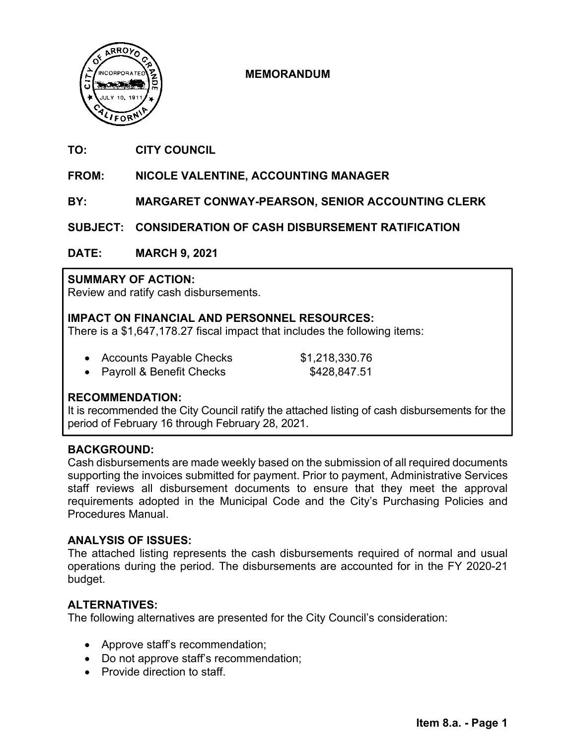

# **MEMORANDUM**

#### **TO: CITY COUNCIL**

#### **FROM: NICOLE VALENTINE, ACCOUNTING MANAGER**

**BY: MARGARET CONWAY-PEARSON, SENIOR ACCOUNTING CLERK**

**SUBJECT: CONSIDERATION OF CASH DISBURSEMENT RATIFICATION** 

**DATE: MARCH 9, 2021** 

## **SUMMARY OF ACTION:**

Review and ratify cash disbursements.

# **IMPACT ON FINANCIAL AND PERSONNEL RESOURCES:**

There is a \$1,647,178.27 fiscal impact that includes the following items:

|  | <b>Accounts Payable Checks</b> | \$1,218,330.76 |
|--|--------------------------------|----------------|
|  | .                              |                |

• Payroll & Benefit Checks \$428,847.51

## **RECOMMENDATION:**

It is recommended the City Council ratify the attached listing of cash disbursements for the period of February 16 through February 28, 2021.

## **BACKGROUND:**

Cash disbursements are made weekly based on the submission of all required documents supporting the invoices submitted for payment. Prior to payment, Administrative Services staff reviews all disbursement documents to ensure that they meet the approval requirements adopted in the Municipal Code and the City's Purchasing Policies and Procedures Manual.

## **ANALYSIS OF ISSUES:**

The attached listing represents the cash disbursements required of normal and usual operations during the period. The disbursements are accounted for in the FY 2020-21 budget.

# **ALTERNATIVES:**

The following alternatives are presented for the City Council's consideration:

- Approve staff's recommendation;
- Do not approve staff's recommendation;
- Provide direction to staff.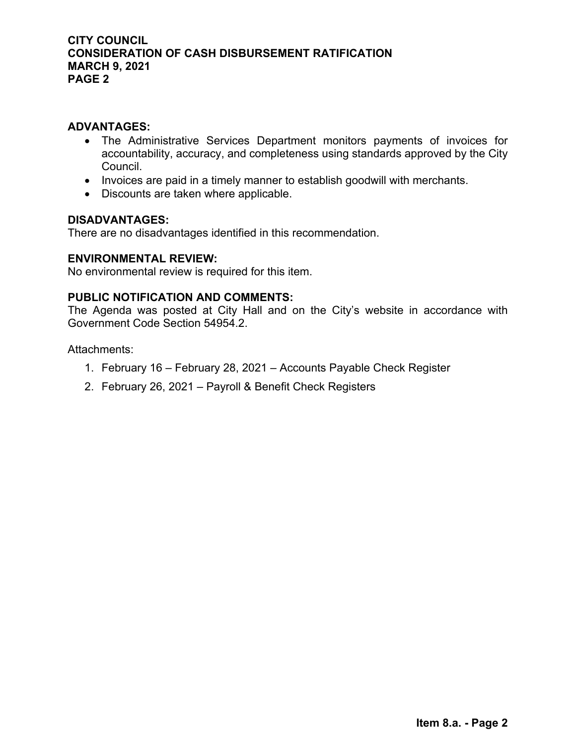## **ADVANTAGES:**

- The Administrative Services Department monitors payments of invoices for accountability, accuracy, and completeness using standards approved by the City Council.
- Invoices are paid in a timely manner to establish goodwill with merchants.
- Discounts are taken where applicable.

## **DISADVANTAGES:**

There are no disadvantages identified in this recommendation.

## **ENVIRONMENTAL REVIEW:**

No environmental review is required for this item.

## **PUBLIC NOTIFICATION AND COMMENTS:**

The Agenda was posted at City Hall and on the City's website in accordance with Government Code Section 54954.2.

Attachments:

- 1. February 16 February 28, 2021 Accounts Payable Check Register
- 2. February 26, 2021 Payroll & Benefit Check Registers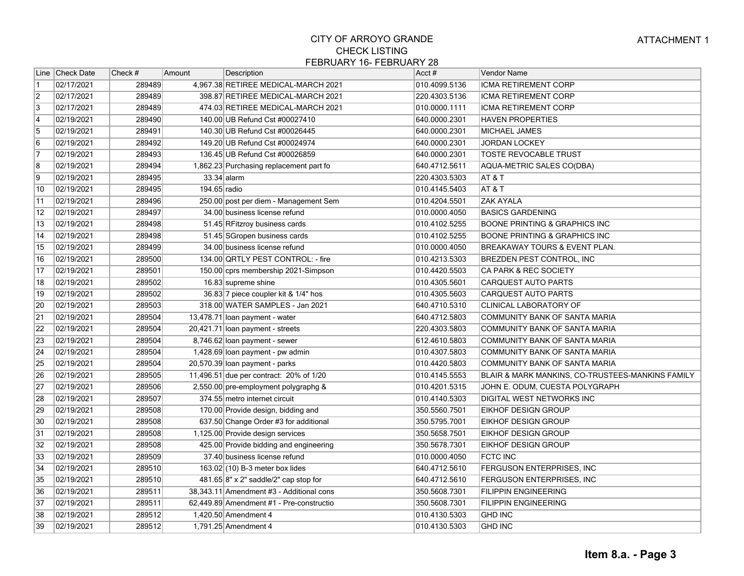|                         | Line Check Date | Check # | Amount       | Description                              | Acct#         | <b>Vendor Name</b>                               |
|-------------------------|-----------------|---------|--------------|------------------------------------------|---------------|--------------------------------------------------|
| $\vert$ 1               | 02/17/2021      | 289489  |              | 4,967.38 RETIREE MEDICAL-MARCH 2021      | 010.4099.5136 | ICMA RETIREMENT CORP                             |
| $\overline{2}$          | 02/17/2021      | 289489  |              | 398.87 RETIREE MEDICAL-MARCH 2021        | 220.4303.5136 | <b>ICMA RETIREMENT CORP</b>                      |
| $\overline{3}$          | 02/17/2021      | 289489  |              | 474.03 RETIREE MEDICAL-MARCH 2021        | 010.0000.1111 | <b>ICMA RETIREMENT CORP</b>                      |
| $\overline{4}$          | 02/19/2021      | 289490  |              | 140.00 UB Refund Cst #00027410           | 640.0000.2301 | <b>HAVEN PROPERTIES</b>                          |
| 5                       | 02/19/2021      | 289491  |              | 140.30 UB Refund Cst #00026445           | 640.0000.2301 | MICHAEL JAMES                                    |
| $\overline{6}$          | 02/19/2021      | 289492  |              | 149.20 UB Refund Cst #00024974           | 640.0000.2301 | <b>JORDAN LOCKEY</b>                             |
| 7                       | 02/19/2021      | 289493  |              | 136.45 UB Refund Cst #00026859           | 640.0000.2301 | <b>TOSTE REVOCABLE TRUST</b>                     |
| $\overline{\mathbf{8}}$ | 02/19/2021      | 289494  |              | 1,862.23 Purchasing replacement part fo  | 640.4712.5611 | AQUA-METRIC SALES CO(DBA)                        |
| 9                       | 02/19/2021      | 289495  |              | $33.34$ alarm                            | 220.4303.5303 | AT & T                                           |
| 10                      | 02/19/2021      | 289495  | 194.65 radio |                                          | 010.4145.5403 | AT & T                                           |
| 11                      | 02/19/2021      | 289496  |              | 250.00 post per diem - Management Sem    | 010.4204.5501 | <b>ZAK AYALA</b>                                 |
| $\overline{12}$         | 02/19/2021      | 289497  |              | 34.00 business license refund            | 010.0000.4050 | <b>BASICS GARDENING</b>                          |
| 13                      | 02/19/2021      | 289498  |              | 51.45 RFitzroy business cards            | 010.4102.5255 | <b>BOONE PRINTING &amp; GRAPHICS INC</b>         |
| 14                      | 02/19/2021      | 289498  |              | 51.45 SGropen business cards             | 010.4102.5255 | <b>BOONE PRINTING &amp; GRAPHICS INC</b>         |
| 15                      | 02/19/2021      | 289499  |              | 34.00 business license refund            | 010.0000.4050 | <b>BREAKAWAY TOURS &amp; EVENT PLAN.</b>         |
| 16                      | 02/19/2021      | 289500  |              | 134.00 QRTLY PEST CONTROL: - fire        | 010.4213.5303 | <b>BREZDEN PEST CONTROL, INC</b>                 |
| 17                      | 02/19/2021      | 289501  |              | 150.00 cprs membership 2021-Simpson      | 010.4420.5503 | CA PARK & REC SOCIETY                            |
| 18                      | 02/19/2021      | 289502  |              | 16.83 supreme shine                      | 010.4305.5601 | <b>CARQUEST AUTO PARTS</b>                       |
| 19                      | 02/19/2021      | 289502  |              | 36.83 7 piece coupler kit & 1/4" hos     | 010.4305.5603 | <b>CARQUEST AUTO PARTS</b>                       |
| 20                      | 02/19/2021      | 289503  |              | 318.00 WATER SAMPLES - Jan 2021          | 640.4710.5310 | CLINICAL LABORATORY OF                           |
| $\overline{21}$         | 02/19/2021      | 289504  |              | 13,478.71 loan payment - water           | 640.4712.5803 | COMMUNITY BANK OF SANTA MARIA                    |
| $\overline{22}$         | 02/19/2021      | 289504  |              | 20,421.71 loan payment - streets         | 220.4303.5803 | COMMUNITY BANK OF SANTA MARIA                    |
| $\sqrt{23}$             | 02/19/2021      | 289504  |              | 8,746.62 loan payment - sewer            | 612.4610.5803 | COMMUNITY BANK OF SANTA MARIA                    |
| $\overline{24}$         | 02/19/2021      | 289504  |              | 1,428.69 loan payment - pw admin         | 010.4307.5803 | COMMUNITY BANK OF SANTA MARIA                    |
| 25                      | 02/19/2021      | 289504  |              | 20,570.39 loan payment - parks           | 010.4420.5803 | COMMUNITY BANK OF SANTA MARIA                    |
| 26                      | 02/19/2021      | 289505  |              | 11,496.51 due per contract: 20% of 1/20  | 010.4145.5553 | BLAIR & MARK MANKINS, CO-TRUSTEES-MANKINS FAMILY |
| $\overline{27}$         | 02/19/2021      | 289506  |              | 2,550.00 pre-employment polygraphg &     | 010.4201.5315 | JOHN E. ODUM, CUESTA POLYGRAPH                   |
| 28                      | 02/19/2021      | 289507  |              | 374.55 metro internet circuit            | 010.4140.5303 | DIGITAL WEST NETWORKS INC                        |
| 29                      | 02/19/2021      | 289508  |              | 170.00 Provide design, bidding and       | 350.5560.7501 | <b>EIKHOF DESIGN GROUP</b>                       |
| 30                      | 02/19/2021      | 289508  |              | 637.50 Change Order #3 for additional    | 350.5795.7001 | <b>EIKHOF DESIGN GROUP</b>                       |
| $\overline{31}$         | 02/19/2021      | 289508  |              | 1,125.00 Provide design services         | 350.5658.7501 | <b>EIKHOF DESIGN GROUP</b>                       |
| $\overline{32}$         | 02/19/2021      | 289508  |              | 425.00 Provide bidding and engineering   | 350.5678.7301 | <b>EIKHOF DESIGN GROUP</b>                       |
| 33                      | 02/19/2021      | 289509  |              | 37.40 business license refund            | 010.0000.4050 | <b>FCTC INC</b>                                  |
| 34                      | 02/19/2021      | 289510  |              | $163.02(10)$ B-3 meter box lides         | 640.4712.5610 | <b>FERGUSON ENTERPRISES, INC</b>                 |
| 35                      | 02/19/2021      | 289510  |              | $481.65 8"$ x 2" saddle/2" cap stop for  | 640.4712.5610 | <b>FERGUSON ENTERPRISES, INC</b>                 |
| 36                      | 02/19/2021      | 289511  |              | 38,343.11 Amendment #3 - Additional cons | 350.5608.7301 | <b>FILIPPIN ENGINEERING</b>                      |
| $\overline{37}$         | 02/19/2021      | 289511  |              | 62,449.89 Amendment #1 - Pre-constructio | 350.5608.7301 | <b>FILIPPIN ENGINEERING</b>                      |
| 38                      | 02/19/2021      | 289512  |              | 1,420.50 Amendment 4                     | 010.4130.5303 | <b>GHD INC</b>                                   |
| 39                      | 02/19/2021      | 289512  |              | 1,791.25 Amendment 4                     | 010.4130.5303 | <b>GHD INC</b>                                   |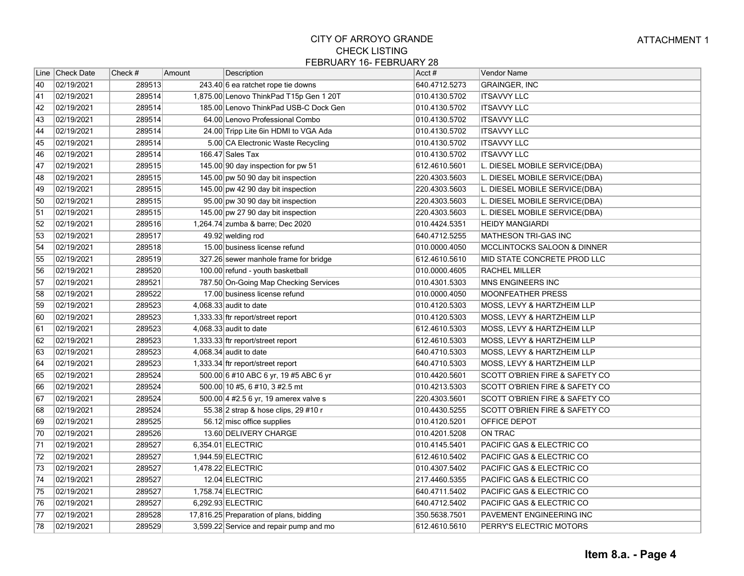|                 | Line   Check Date | Check # | Amount | Description                             | Acct#         | <b>Vendor Name</b>                        |
|-----------------|-------------------|---------|--------|-----------------------------------------|---------------|-------------------------------------------|
| 40              | 02/19/2021        | 289513  |        | 243.40 6 ea ratchet rope tie downs      | 640.4712.5273 | <b>GRAINGER, INC</b>                      |
| 41              | 02/19/2021        | 289514  |        | 1,875.00 Lenovo ThinkPad T15p Gen 1 20T | 010.4130.5702 | <b>ITSAVVY LLC</b>                        |
| 42              | 02/19/2021        | 289514  |        | 185.00 Lenovo ThinkPad USB-C Dock Gen   | 010.4130.5702 | <b>ITSAVVY LLC</b>                        |
| 43              | 02/19/2021        | 289514  |        | 64.00 Lenovo Professional Combo         | 010.4130.5702 | <b>ITSAVVY LLC</b>                        |
| 44              | 02/19/2021        | 289514  |        | 24.00 Tripp Lite 6in HDMI to VGA Ada    | 010.4130.5702 | <b>ITSAVVY LLC</b>                        |
| 45              | 02/19/2021        | 289514  |        | 5.00 CA Electronic Waste Recycling      | 010.4130.5702 | <b>ITSAVVY LLC</b>                        |
| 46              | 02/19/2021        | 289514  |        | 166.47 Sales Tax                        | 010.4130.5702 | <b>ITSAVVY LLC</b>                        |
| $\overline{47}$ | 02/19/2021        | 289515  |        | 145.00 90 day inspection for pw 51      | 612.4610.5601 | L. DIESEL MOBILE SERVICE(DBA)             |
| 48              | 02/19/2021        | 289515  |        | 145.00 pw 50 90 day bit inspection      | 220.4303.5603 | L. DIESEL MOBILE SERVICE(DBA)             |
| 49              | 02/19/2021        | 289515  |        | 145.00 pw 42 90 day bit inspection      | 220.4303.5603 | L. DIESEL MOBILE SERVICE(DBA)             |
| 50              | 02/19/2021        | 289515  |        | 95.00 pw 30 90 day bit inspection       | 220.4303.5603 | L. DIESEL MOBILE SERVICE(DBA)             |
| $\overline{51}$ | 02/19/2021        | 289515  |        | 145.00 pw 27 90 day bit inspection      | 220.4303.5603 | L. DIESEL MOBILE SERVICE(DBA)             |
| 52              | 02/19/2021        | 289516  |        | 1,264.74 zumba & barre; Dec 2020        | 010.4424.5351 | <b>HEIDY MANGIARDI</b>                    |
| 53              | 02/19/2021        | 289517  |        | 49.92 welding rod                       | 640.4712.5255 | MATHESON TRI-GAS INC                      |
| 54              | 02/19/2021        | 289518  |        | 15.00 business license refund           | 010.0000.4050 | <b>MCCLINTOCKS SALOON &amp; DINNER</b>    |
| 55              | 02/19/2021        | 289519  |        | 327.26 sewer manhole frame for bridge   | 612.4610.5610 | <b>MID STATE CONCRETE PROD LLC</b>        |
| 56              | 02/19/2021        | 289520  |        | 100.00 refund - youth basketball        | 010.0000.4605 | <b>RACHEL MILLER</b>                      |
| 57              | 02/19/2021        | 289521  |        | 787.50 On-Going Map Checking Services   | 010.4301.5303 | <b>MNS ENGINEERS INC</b>                  |
| 58              | 02/19/2021        | 289522  |        | 17.00 business license refund           | 010.0000.4050 | <b>MOONFEATHER PRESS</b>                  |
| 59              | 02/19/2021        | 289523  |        | $4,068.33$ audit to date                | 010.4120.5303 | MOSS, LEVY & HARTZHEIM LLP                |
| 60              | 02/19/2021        | 289523  |        | 1,333.33 ftr report/street report       | 010.4120.5303 | <b>MOSS, LEVY &amp; HARTZHEIM LLP</b>     |
| 61              | 02/19/2021        | 289523  |        | $4,068.33$ audit to date                | 612.4610.5303 | <b>MOSS, LEVY &amp; HARTZHEIM LLP</b>     |
| 62              | 02/19/2021        | 289523  |        | 1,333.33 ftr report/street report       | 612.4610.5303 | <b>MOSS, LEVY &amp; HARTZHEIM LLP</b>     |
| 63              | 02/19/2021        | 289523  |        | 4,068.34 audit to date                  | 640.4710.5303 | MOSS, LEVY & HARTZHEIM LLP                |
| 64              | 02/19/2021        | 289523  |        | 1,333.34 ftr report/street report       | 640.4710.5303 | MOSS, LEVY & HARTZHEIM LLP                |
| 65              | 02/19/2021        | 289524  |        | 500.00 6 #10 ABC 6 yr, 19 #5 ABC 6 yr   | 010.4420.5601 | SCOTT O'BRIEN FIRE & SAFETY CO            |
| 66              | 02/19/2021        | 289524  |        | 500.00 10 #5, 6 #10, 3 #2.5 mt          | 010.4213.5303 | <b>SCOTT O'BRIEN FIRE &amp; SAFETY CO</b> |
| 67              | 02/19/2021        | 289524  |        | 500.00 4 #2.5 6 yr, 19 amerex valve s   | 220.4303.5601 | <b>SCOTT O'BRIEN FIRE &amp; SAFETY CO</b> |
| 68              | 02/19/2021        | 289524  |        | 55.38 2 strap & hose clips, 29 #10 r    | 010.4430.5255 | <b>SCOTT O'BRIEN FIRE &amp; SAFETY CO</b> |
| 69              | 02/19/2021        | 289525  |        | 56.12 misc office supplies              | 010.4120.5201 | OFFICE DEPOT                              |
| 70              | 02/19/2021        | 289526  |        | 13.60 DELIVERY CHARGE                   | 010.4201.5208 | ON TRAC                                   |
| 71              | 02/19/2021        | 289527  |        | 6,354.01 ELECTRIC                       | 010.4145.5401 | PACIFIC GAS & ELECTRIC CO                 |
| 72              | 02/19/2021        | 289527  |        | 1,944.59 ELECTRIC                       | 612.4610.5402 | PACIFIC GAS & ELECTRIC CO                 |
| 73              | 02/19/2021        | 289527  |        | 1,478.22 ELECTRIC                       | 010.4307.5402 | PACIFIC GAS & ELECTRIC CO                 |
| 74              | 02/19/2021        | 289527  |        | 12.04 ELECTRIC                          | 217.4460.5355 | PACIFIC GAS & ELECTRIC CO                 |
| 75              | 02/19/2021        | 289527  |        | 1,758.74 ELECTRIC                       | 640.4711.5402 | PACIFIC GAS & ELECTRIC CO                 |
| 76              | 02/19/2021        | 289527  |        | 6,292.93 ELECTRIC                       | 640.4712.5402 | PACIFIC GAS & ELECTRIC CO                 |
| 77              | 02/19/2021        | 289528  |        | 17,816.25 Preparation of plans, bidding | 350.5638.7501 | PAVEMENT ENGINEERING INC                  |
| 78              | 02/19/2021        | 289529  |        | 3,599.22 Service and repair pump and mo | 612.4610.5610 | PERRY'S ELECTRIC MOTORS                   |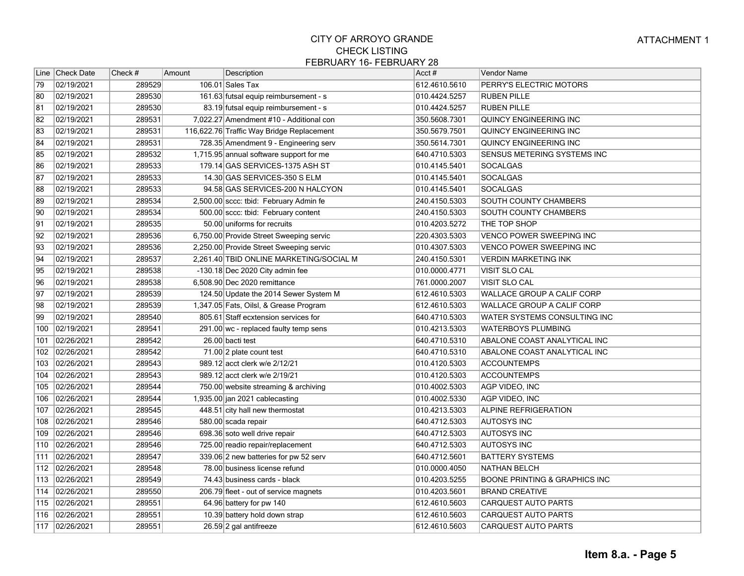|                 | Line Check Date | Check # | Amount | Description                               | Acct#         | Vendor Name                              |
|-----------------|-----------------|---------|--------|-------------------------------------------|---------------|------------------------------------------|
| 79              | 02/19/2021      | 289529  |        | $106.01$ Sales Tax                        | 612.4610.5610 | PERRY'S ELECTRIC MOTORS                  |
| 80              | 02/19/2021      | 289530  |        | 161.63 futsal equip reimbursement - s     | 010.4424.5257 | <b>RUBEN PILLE</b>                       |
| 81              | 02/19/2021      | 289530  |        | 83.19 futsal equip reimbursement - s      | 010.4424.5257 | <b>RUBEN PILLE</b>                       |
| 82              | 02/19/2021      | 289531  |        | 7,022.27 Amendment #10 - Additional con   | 350.5608.7301 | QUINCY ENGINEERING INC                   |
| 83              | 02/19/2021      | 289531  |        | 116,622.76 Traffic Way Bridge Replacement | 350.5679.7501 | QUINCY ENGINEERING INC                   |
| 84              | 02/19/2021      | 289531  |        | 728.35 Amendment 9 - Engineering serv     | 350.5614.7301 | QUINCY ENGINEERING INC                   |
| 85              | 02/19/2021      | 289532  |        | 1,715.95 annual software support for me   | 640.4710.5303 | SENSUS METERING SYSTEMS INC              |
| 86              | 02/19/2021      | 289533  |        | 179.14 GAS SERVICES-1375 ASH ST           | 010.4145.5401 | <b>SOCALGAS</b>                          |
| 87              | 02/19/2021      | 289533  |        | 14.30 GAS SERVICES-350 S ELM              | 010.4145.5401 | <b>SOCALGAS</b>                          |
| 88              | 02/19/2021      | 289533  |        | 94.58 GAS SERVICES-200 N HALCYON          | 010.4145.5401 | <b>SOCALGAS</b>                          |
| 89              | 02/19/2021      | 289534  |        | 2,500.00 sccc: tbid: February Admin fe    | 240.4150.5303 | SOUTH COUNTY CHAMBERS                    |
| 90              | 02/19/2021      | 289534  |        | 500.00 sccc: tbid: February content       | 240.4150.5303 | SOUTH COUNTY CHAMBERS                    |
| 91              | 02/19/2021      | 289535  |        | 50.00 uniforms for recruits               | 010.4203.5272 | THE TOP SHOP                             |
| $\overline{92}$ | 02/19/2021      | 289536  |        | 6,750.00 Provide Street Sweeping servic   | 220.4303.5303 | VENCO POWER SWEEPING INC                 |
| 93              | 02/19/2021      | 289536  |        | 2,250.00 Provide Street Sweeping servic   | 010.4307.5303 | <b>VENCO POWER SWEEPING INC</b>          |
| 94              | 02/19/2021      | 289537  |        | 2,261.40 TBID ONLINE MARKETING/SOCIAL M   | 240.4150.5301 | <b>VERDIN MARKETING INK</b>              |
| 95              | 02/19/2021      | 289538  |        | -130.18 Dec 2020 City admin fee           | 010.0000.4771 | VISIT SLO CAL                            |
| 96              | 02/19/2021      | 289538  |        | 6,508.90 Dec 2020 remittance              | 761.0000.2007 | VISIT SLO CAL                            |
| 97              | 02/19/2021      | 289539  |        | 124.50 Update the 2014 Sewer System M     | 612.4610.5303 | WALLACE GROUP A CALIF CORP               |
| 98              | 02/19/2021      | 289539  |        | 1,347.05 Fats, Oilsl, & Grease Program    | 612.4610.5303 | WALLACE GROUP A CALIF CORP               |
| 99              | 02/19/2021      | 289540  |        | 805.61 Staff ecxtension services for      | 640.4710.5303 | WATER SYSTEMS CONSULTING INC             |
| 100             | 02/19/2021      | 289541  |        | 291.00 wc - replaced faulty temp sens     | 010.4213.5303 | <b>WATERBOYS PLUMBING</b>                |
| 101             | 02/26/2021      | 289542  |        | 26.00 bacti test                          | 640.4710.5310 | ABALONE COAST ANALYTICAL INC             |
| 102             | 02/26/2021      | 289542  |        | 71.00 2 plate count test                  | 640.4710.5310 | ABALONE COAST ANALYTICAL INC             |
| 103             | 02/26/2021      | 289543  |        | 989.12 acct clerk w/e 2/12/21             | 010.4120.5303 | <b>ACCOUNTEMPS</b>                       |
| 104             | 02/26/2021      | 289543  |        | 989.12 acct clerk w/e 2/19/21             | 010.4120.5303 | <b>ACCOUNTEMPS</b>                       |
| 105             | 02/26/2021      | 289544  |        | 750.00 website streaming & archiving      | 010.4002.5303 | AGP VIDEO, INC                           |
| 106             | 02/26/2021      | 289544  |        | 1,935.00 jan 2021 cablecasting            | 010.4002.5330 | AGP VIDEO, INC                           |
| 107             | 02/26/2021      | 289545  |        | 448.51 city hall new thermostat           | 010.4213.5303 | <b>ALPINE REFRIGERATION</b>              |
| 108             | 02/26/2021      | 289546  |        | 580.00 scada repair                       | 640.4712.5303 | <b>AUTOSYS INC</b>                       |
| 109             | 02/26/2021      | 289546  |        | 698.36 soto well drive repair             | 640.4712.5303 | <b>AUTOSYS INC</b>                       |
| 110             | 02/26/2021      | 289546  |        | 725.00 readio repair/replacement          | 640.4712.5303 | <b>AUTOSYS INC</b>                       |
| 111             | 02/26/2021      | 289547  |        | 339.06 2 new batteries for pw 52 serv     | 640.4712.5601 | <b>BATTERY SYSTEMS</b>                   |
|                 | 112 02/26/2021  | 289548  |        | 78.00 business license refund             | 010.0000.4050 | NATHAN BELCH                             |
| 113             | 02/26/2021      | 289549  |        | 74.43 business cards - black              | 010.4203.5255 | <b>BOONE PRINTING &amp; GRAPHICS INC</b> |
|                 | 114 02/26/2021  | 289550  |        | 206.79 fleet - out of service magnets     | 010.4203.5601 | <b>BRAND CREATIVE</b>                    |
|                 | 115 02/26/2021  | 289551  |        | 64.96 battery for pw 140                  | 612.4610.5603 | CARQUEST AUTO PARTS                      |
| 116             | 02/26/2021      | 289551  |        | 10.39 battery hold down strap             | 612.4610.5603 | CARQUEST AUTO PARTS                      |
|                 | 117 02/26/2021  | 289551  |        | 26.59 2 gal antifreeze                    | 612.4610.5603 | <b>CARQUEST AUTO PARTS</b>               |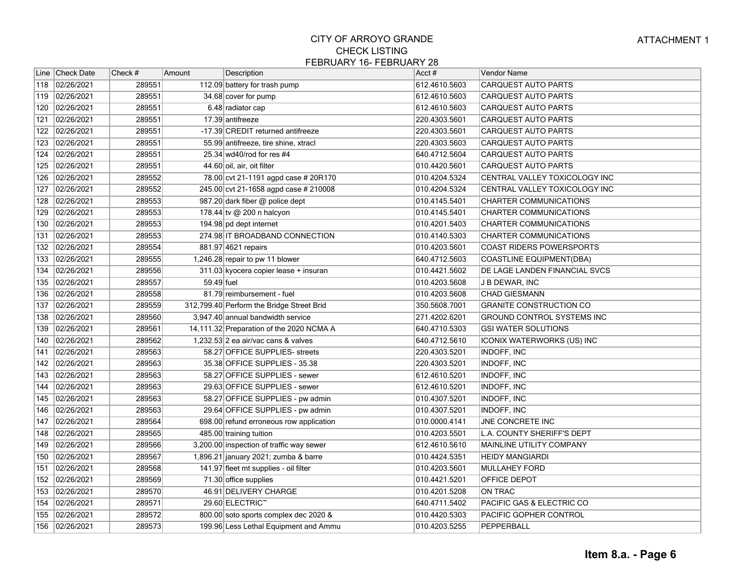|     | Line   Check Date | Check # | Amount     | Description                               | Acct#         | Vendor Name                       |
|-----|-------------------|---------|------------|-------------------------------------------|---------------|-----------------------------------|
|     | 118 02/26/2021    | 289551  |            | 112.09 battery for trash pump             | 612.4610.5603 | CARQUEST AUTO PARTS               |
| 119 | 02/26/2021        | 289551  |            | 34.68 cover for pump                      | 612.4610.5603 | <b>CARQUEST AUTO PARTS</b>        |
| 120 | 02/26/2021        | 289551  |            | 6.48 radiator cap                         | 612.4610.5603 | <b>CARQUEST AUTO PARTS</b>        |
| 121 | 02/26/2021        | 289551  |            | 17.39 antifreeze                          | 220.4303.5601 | <b>CARQUEST AUTO PARTS</b>        |
| 122 | 02/26/2021        | 289551  |            | -17.39 CREDIT returned antifreeze         | 220.4303.5601 | <b>CARQUEST AUTO PARTS</b>        |
| 123 | 02/26/2021        | 289551  |            | 55.99 antifreeze, tire shine, xtracl      | 220.4303.5603 | <b>CARQUEST AUTO PARTS</b>        |
| 124 | 02/26/2021        | 289551  |            | 25.34 wd40/rod for res #4                 | 640.4712.5604 | <b>CARQUEST AUTO PARTS</b>        |
| 125 | 02/26/2021        | 289551  |            | 44.60 oil, air, oit filter                | 010.4420.5601 | <b>CARQUEST AUTO PARTS</b>        |
| 126 | 02/26/2021        | 289552  |            | 78.00 cvt 21-1191 agpd case # 20R170      | 010.4204.5324 | CENTRAL VALLEY TOXICOLOGY INC     |
| 127 | 02/26/2021        | 289552  |            | 245.00 cvt 21-1658 agpd case # 210008     | 010.4204.5324 | CENTRAL VALLEY TOXICOLOGY INC     |
| 128 | 02/26/2021        | 289553  |            | 987.20 dark fiber @ police dept           | 010.4145.5401 | CHARTER COMMUNICATIONS            |
| 129 | 02/26/2021        | 289553  |            | 178.44 tv @ 200 n halcyon                 | 010.4145.5401 | CHARTER COMMUNICATIONS            |
| 130 | 02/26/2021        | 289553  |            | 194.98 pd dept internet                   | 010.4201.5403 | CHARTER COMMUNICATIONS            |
| 131 | 02/26/2021        | 289553  |            | 274.98 IT BROADBAND CONNECTION            | 010.4140.5303 | <b>CHARTER COMMUNICATIONS</b>     |
| 132 | 02/26/2021        | 289554  |            | 881.97 4621 repairs                       | 010.4203.5601 | <b>COAST RIDERS POWERSPORTS</b>   |
| 133 | 02/26/2021        | 289555  |            | 1,246.28 repair to pw 11 blower           | 640.4712.5603 | COASTLINE EQUIPMENT(DBA)          |
| 134 | 02/26/2021        | 289556  |            | 311.03 kyocera copier lease + insuran     | 010.4421.5602 | DE LAGE LANDEN FINANCIAL SVCS     |
| 135 | 02/26/2021        | 289557  | 59.49 fuel |                                           | 010.4203.5608 | J B DEWAR, INC                    |
| 136 | 02/26/2021        | 289558  |            | 81.79 reimbursement - fuel                | 010.4203.5608 | <b>CHAD GIESMANN</b>              |
| 137 | 02/26/2021        | 289559  |            | 312,799.40 Perform the Bridge Street Brid | 350.5608.7001 | <b>GRANITE CONSTRUCTION CO</b>    |
| 138 | 02/26/2021        | 289560  |            | 3,947.40 annual bandwidth service         | 271.4202.6201 | GROUND CONTROL SYSTEMS INC        |
| 139 | 02/26/2021        | 289561  |            | 14,111.32 Preparation of the 2020 NCMA A  | 640.4710.5303 | <b>GSI WATER SOLUTIONS</b>        |
| 140 | 02/26/2021        | 289562  |            | 1,232.53 2 ea air/vac cans & valves       | 640.4712.5610 | <b>ICONIX WATERWORKS (US) INC</b> |
| 141 | 02/26/2021        | 289563  |            | 58.27 OFFICE SUPPLIES- streets            | 220.4303.5201 | INDOFF, INC                       |
| 142 | 02/26/2021        | 289563  |            | 35.38 OFFICE SUPPLIES - 35.38             | 220.4303.5201 | INDOFF, INC                       |
| 143 | 02/26/2021        | 289563  |            | 58.27 OFFICE SUPPLIES - sewer             | 612.4610.5201 | INDOFF, INC                       |
| 144 | 02/26/2021        | 289563  |            | 29.63 OFFICE SUPPLIES - sewer             | 612.4610.5201 | INDOFF, INC                       |
| 145 | 02/26/2021        | 289563  |            | 58.27 OFFICE SUPPLIES - pw admin          | 010.4307.5201 | INDOFF, INC                       |
| 146 | 02/26/2021        | 289563  |            | 29.64 OFFICE SUPPLIES - pw admin          | 010.4307.5201 | INDOFF, INC                       |
| 147 | 02/26/2021        | 289564  |            | 698.00 refund erroneous row application   | 010.0000.4141 | JNE CONCRETE INC                  |
| 148 | 02/26/2021        | 289565  |            | 485.00 training tuition                   | 010.4203.5501 | L.A. COUNTY SHERIFF'S DEPT        |
| 149 | 02/26/2021        | 289566  |            | 3,200.00 inspection of traffic way sewer  | 612.4610.5610 | MAINLINE UTILITY COMPANY          |
| 150 | 02/26/2021        | 289567  |            | 1,896.21 january 2021; zumba & barre      | 010.4424.5351 | <b>HEIDY MANGIARDI</b>            |
| 151 | 02/26/2021        | 289568  |            | 141.97 fleet mt supplies - oil filter     | 010.4203.5601 | <b>MULLAHEY FORD</b>              |
|     | 152 02/26/2021    | 289569  |            | 71.30 office supplies                     | 010.4421.5201 | OFFICE DEPOT                      |
| 153 | 02/26/2021        | 289570  |            | 46.91 DELIVERY CHARGE                     | 010.4201.5208 | ON TRAC                           |
| 154 | 02/26/2021        | 289571  |            | 29.60 ELECTRIC <sup>~</sup>               | 640.4711.5402 | PACIFIC GAS & ELECTRIC CO         |
| 155 | 02/26/2021        | 289572  |            | 800.00 soto sports complex dec 2020 &     | 010.4420.5303 | PACIFIC GOPHER CONTROL            |
|     | 156 02/26/2021    | 289573  |            | 199.96 Less Lethal Equipment and Ammu     | 010.4203.5255 | PEPPERBALL                        |
|     |                   |         |            |                                           |               |                                   |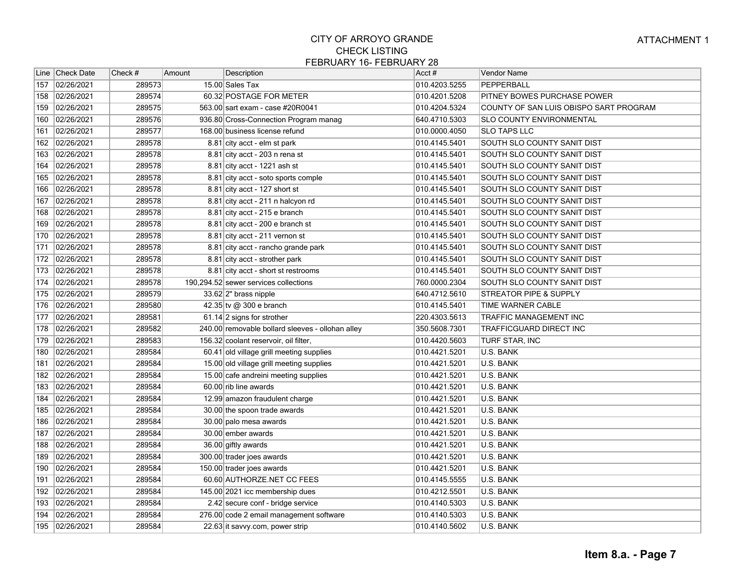|              | Line   Check Date | Check # | Amount | Description                                      | Acct#         | Vendor Name                            |
|--------------|-------------------|---------|--------|--------------------------------------------------|---------------|----------------------------------------|
| 157          | 02/26/2021        | 289573  |        | 15.00 Sales Tax                                  | 010.4203.5255 | PEPPERBALL                             |
| 158          | 02/26/2021        | 289574  |        | 60.32 POSTAGE FOR METER                          | 010.4201.5208 | PITNEY BOWES PURCHASE POWER            |
| 159          | 02/26/2021        | 289575  |        | 563.00 sart exam - case #20R0041                 | 010.4204.5324 | COUNTY OF SAN LUIS OBISPO SART PROGRAM |
| 160          | 02/26/2021        | 289576  |        | 936.80 Cross-Connection Program manag            | 640.4710.5303 | <b>SLO COUNTY ENVIRONMENTAL</b>        |
| 161          | 02/26/2021        | 289577  |        | 168.00 business license refund                   | 010.0000.4050 | <b>SLO TAPS LLC</b>                    |
| 162          | 02/26/2021        | 289578  |        | 8.81 city acct - elm st park                     | 010.4145.5401 | SOUTH SLO COUNTY SANIT DIST            |
| 163          | 02/26/2021        | 289578  |        | $8.81$ city acct - 203 n rena st                 | 010.4145.5401 | SOUTH SLO COUNTY SANIT DIST            |
| 164          | 02/26/2021        | 289578  |        | $8.81$ city acct - 1221 ash st                   | 010.4145.5401 | SOUTH SLO COUNTY SANIT DIST            |
| 165          | 02/26/2021        | 289578  |        | 8.81 city acct - soto sports comple              | 010.4145.5401 | SOUTH SLO COUNTY SANIT DIST            |
| 166          | 02/26/2021        | 289578  |        | 8.81 city acct - 127 short st                    | 010.4145.5401 | SOUTH SLO COUNTY SANIT DIST            |
| 167          | 02/26/2021        | 289578  |        | 8.81 city acct - 211 n halcyon rd                | 010.4145.5401 | SOUTH SLO COUNTY SANIT DIST            |
| 168          | 02/26/2021        | 289578  |        | 8.81 city acct - 215 e branch                    | 010.4145.5401 | SOUTH SLO COUNTY SANIT DIST            |
| 169          | 02/26/2021        | 289578  |        | 8.81 city acct - 200 e branch st                 | 010.4145.5401 | SOUTH SLO COUNTY SANIT DIST            |
| 170          | 02/26/2021        | 289578  |        | 8.81 city acct - 211 vernon st                   | 010.4145.5401 | SOUTH SLO COUNTY SANIT DIST            |
| 171          | 02/26/2021        | 289578  |        | 8.81 city acct - rancho grande park              | 010.4145.5401 | SOUTH SLO COUNTY SANIT DIST            |
| 172          | 02/26/2021        | 289578  |        | 8.81 city acct - strother park                   | 010.4145.5401 | SOUTH SLO COUNTY SANIT DIST            |
| $\sqrt{173}$ | 02/26/2021        | 289578  |        | 8.81 city acct - short st restrooms              | 010.4145.5401 | SOUTH SLO COUNTY SANIT DIST            |
| 174          | 02/26/2021        | 289578  |        | 190,294.52 sewer services collections            | 760.0000.2304 | SOUTH SLO COUNTY SANIT DIST            |
| 175          | 02/26/2021        | 289579  |        | $33.62$  2" brass nipple                         | 640.4712.5610 | <b>STREATOR PIPE &amp; SUPPLY</b>      |
| 176          | 02/26/2021        | 289580  |        | 42.35 tv @ 300 e branch                          | 010.4145.5401 | TIME WARNER CABLE                      |
| 177          | 02/26/2021        | 289581  |        | 61.14 2 signs for strother                       | 220.4303.5613 | TRAFFIC MANAGEMENT INC                 |
| 178          | 02/26/2021        | 289582  |        | 240.00 removable bollard sleeves - ollohan alley | 350.5608.7301 | TRAFFICGUARD DIRECT INC                |
| 179          | 02/26/2021        | 289583  |        | 156.32 coolant reservoir, oil filter,            | 010.4420.5603 | TURF STAR, INC                         |
| 180          | 02/26/2021        | 289584  |        | 60.41 old village grill meeting supplies         | 010.4421.5201 | U.S. BANK                              |
| 181          | 02/26/2021        | 289584  |        | 15.00 old village grill meeting supplies         | 010.4421.5201 | U.S. BANK                              |
| 182          | 02/26/2021        | 289584  |        | 15.00 cafe andreini meeting supplies             | 010.4421.5201 | U.S. BANK                              |
| 183          | 02/26/2021        | 289584  |        | 60.00 rib line awards                            | 010.4421.5201 | U.S. BANK                              |
| 184          | 02/26/2021        | 289584  |        | 12.99 amazon fraudulent charge                   | 010.4421.5201 | U.S. BANK                              |
| 185          | 02/26/2021        | 289584  |        | 30.00 the spoon trade awards                     | 010.4421.5201 | U.S. BANK                              |
| 186          | 02/26/2021        | 289584  |        | 30.00 palo mesa awards                           | 010.4421.5201 | U.S. BANK                              |
| 187          | 02/26/2021        | 289584  |        | 30.00 ember awards                               | 010.4421.5201 | <b>U.S. BANK</b>                       |
| 188          | 02/26/2021        | 289584  |        | 36.00 giftly awards                              | 010.4421.5201 | U.S. BANK                              |
| 189          | 02/26/2021        | 289584  |        | 300.00 trader joes awards                        | 010.4421.5201 | U.S. BANK                              |
| 190          | 02/26/2021        | 289584  |        | 150.00 trader joes awards                        | 010.4421.5201 | U.S. BANK                              |
| 191          | 02/26/2021        | 289584  |        | 60.60 AUTHORZE.NET CC FEES                       | 010.4145.5555 | U.S. BANK                              |
| 192          | 02/26/2021        | 289584  |        | 145.00 2021 icc membership dues                  | 010.4212.5501 | U.S. BANK                              |
| 193          | 02/26/2021        | 289584  |        | 2.42 secure conf - bridge service                | 010.4140.5303 | U.S. BANK                              |
| 194          | 02/26/2021        | 289584  |        | 276.00 code 2 email management software          | 010.4140.5303 | U.S. BANK                              |
| 195          | 02/26/2021        | 289584  |        | 22.63 it savvy.com, power strip                  | 010.4140.5602 | U.S. BANK                              |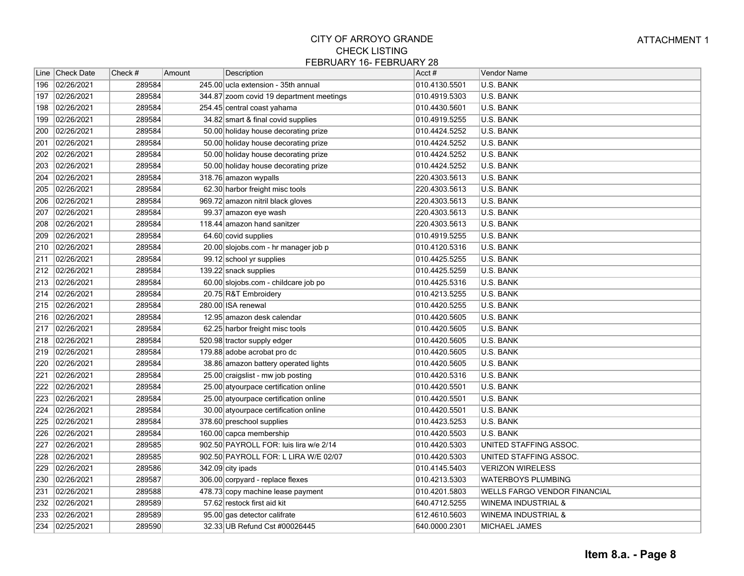| 02/26/2021<br>289584<br>245.00 ucla extension - 35th annual<br>010.4130.5501<br>U.S. BANK<br>196<br>02/26/2021<br>289584<br><b>U.S. BANK</b><br>197<br>344.87 zoom covid 19 department meetings<br>010.4919.5303<br>289584<br>02/26/2021<br>254.45 central coast yahama<br>010.4430.5601<br>U.S. BANK<br>198<br>02/26/2021<br>289584<br>34.82 smart & final covid supplies<br>010.4919.5255<br>U.S. BANK<br>199<br>02/26/2021<br>289584<br>200<br>50.00 holiday house decorating prize<br>010.4424.5252<br>U.S. BANK<br>02/26/2021<br>289584<br>50.00 holiday house decorating prize<br>010.4424.5252<br>201<br>U.S. BANK<br>02/26/2021<br>289584<br>50.00 holiday house decorating prize<br>010.4424.5252<br>U.S. BANK<br>202<br>02/26/2021<br>289584<br>010.4424.5252<br>U.S. BANK<br>203<br>50.00 holiday house decorating prize<br>02/26/2021<br>289584<br>318.76 amazon wypalls<br>U.S. BANK<br>204<br>220.4303.5613<br>02/26/2021<br>289584<br>U.S. BANK<br>205<br>62.30 harbor freight misc tools<br>220.4303.5613<br>02/26/2021<br>289584<br>U.S. BANK<br>206<br>969.72 amazon nitril black gloves<br>220.4303.5613<br>289584<br>99.37 amazon eye wash<br>207<br>02/26/2021<br>220.4303.5613<br>U.S. BANK<br>289584<br>02/26/2021<br>118.44 amazon hand sanitzer<br>220.4303.5613<br>U.S. BANK<br>208<br>289584<br>02/26/2021<br>64.60 covid supplies<br><b>U.S. BANK</b><br>209<br>010.4919.5255<br>210<br>02/26/2021<br>289584<br>20.00 slojobs.com - hr manager job p<br>010.4120.5316<br>U.S. BANK<br>289584<br>02/26/2021<br>010.4425.5255<br><b>U.S. BANK</b><br>211<br>99.12 school yr supplies<br>139.22 snack supplies<br>U.S. BANK<br>02/26/2021<br>289584<br>010.4425.5259<br>213<br>02/26/2021<br>289584<br>60.00 slojobs.com - childcare job po<br>010.4425.5316<br>U.S. BANK<br>02/26/2021<br>289584<br>20.75 R&T Embroidery<br>010.4213.5255<br>U.S. BANK<br>214<br>02/26/2021<br>289584<br>280.00 ISA renewal<br>215<br>010.4420.5255<br>U.S. BANK<br>289584<br>216<br>02/26/2021<br>010.4420.5605<br><b>U.S. BANK</b><br>12.95 amazon desk calendar<br>217<br>02/26/2021<br>289584<br>62.25 harbor freight misc tools<br>010.4420.5605<br>U.S. BANK<br>289584<br>02/26/2021<br>010.4420.5605<br>U.S. BANK<br>218<br>520.98 tractor supply edger<br>02/26/2021<br>289584<br>179.88 adobe acrobat pro dc<br>U.S. BANK<br>219<br>010.4420.5605<br>289584<br>220<br>02/26/2021<br>38.86 amazon battery operated lights<br>010.4420.5605<br>U.S. BANK<br>02/26/2021<br>289584<br>25.00 craigslist - mw job posting<br>010.4420.5316<br>U.S. BANK<br>221<br>02/26/2021<br>289584<br>25.00 atyourpace certification online<br>010.4420.5501<br>U.S. BANK<br>222<br>289584<br>223<br>02/26/2021<br>25.00 atyourpace certification online<br>010.4420.5501<br>U.S. BANK<br>289584<br><b>U.S. BANK</b><br>224<br>02/26/2021<br>30.00 atyourpace certification online<br>010.4420.5501<br>289584<br><b>U.S. BANK</b><br>225<br>02/26/2021<br>378.60 preschool supplies<br>010.4423.5253<br>289584<br>226<br>02/26/2021<br>160.00 capca membership<br>010.4420.5503<br>U.S. BANK<br>02/26/2021<br>289585<br>902.50 PAYROLL FOR: luis lira w/e 2/14<br>UNITED STAFFING ASSOC.<br>227<br>010.4420.5303<br>289585<br>02/26/2021<br>902.50 PAYROLL FOR: L LIRA W/E 02/07<br>010.4420.5303<br>UNITED STAFFING ASSOC.<br>228<br>229<br>02/26/2021<br>289586<br>010.4145.5403<br><b>VERIZON WIRELESS</b><br>342.09 city ipads<br>230<br>02/26/2021<br>289587<br>010.4213.5303<br><b>WATERBOYS PLUMBING</b><br>306.00 corpyard - replace flexes<br>289588<br>02/26/2021<br>010.4201.5803<br>WELLS FARGO VENDOR FINANCIAL<br>231<br>478.73 copy machine lease payment<br>232<br>02/26/2021<br>289589<br>57.62 restock first aid kit<br>640.4712.5255<br>WINEMA INDUSTRIAL &<br>233<br>02/26/2021<br>289589<br>612.4610.5603<br><b>WINEMA INDUSTRIAL &amp;</b><br>95.00 gas detector califrate<br>234 02/25/2021<br>289590<br>32.33 UB Refund Cst #00026445<br>640.0000.2301<br><b>MICHAEL JAMES</b> |     | Line Check Date | Check # | Amount | Description | Acct # | Vendor Name |
|---------------------------------------------------------------------------------------------------------------------------------------------------------------------------------------------------------------------------------------------------------------------------------------------------------------------------------------------------------------------------------------------------------------------------------------------------------------------------------------------------------------------------------------------------------------------------------------------------------------------------------------------------------------------------------------------------------------------------------------------------------------------------------------------------------------------------------------------------------------------------------------------------------------------------------------------------------------------------------------------------------------------------------------------------------------------------------------------------------------------------------------------------------------------------------------------------------------------------------------------------------------------------------------------------------------------------------------------------------------------------------------------------------------------------------------------------------------------------------------------------------------------------------------------------------------------------------------------------------------------------------------------------------------------------------------------------------------------------------------------------------------------------------------------------------------------------------------------------------------------------------------------------------------------------------------------------------------------------------------------------------------------------------------------------------------------------------------------------------------------------------------------------------------------------------------------------------------------------------------------------------------------------------------------------------------------------------------------------------------------------------------------------------------------------------------------------------------------------------------------------------------------------------------------------------------------------------------------------------------------------------------------------------------------------------------------------------------------------------------------------------------------------------------------------------------------------------------------------------------------------------------------------------------------------------------------------------------------------------------------------------------------------------------------------------------------------------------------------------------------------------------------------------------------------------------------------------------------------------------------------------------------------------------------------------------------------------------------------------------------------------------------------------------------------------------------------------------------------------------------------------------------------------------------------------------------------------------------------------------------------------------------------------------------------------------------------------------------------------------------------------------------------------------------------------------------------------------------------------------------------------------------------------------------------------------------------------------------------------------------------------|-----|-----------------|---------|--------|-------------|--------|-------------|
|                                                                                                                                                                                                                                                                                                                                                                                                                                                                                                                                                                                                                                                                                                                                                                                                                                                                                                                                                                                                                                                                                                                                                                                                                                                                                                                                                                                                                                                                                                                                                                                                                                                                                                                                                                                                                                                                                                                                                                                                                                                                                                                                                                                                                                                                                                                                                                                                                                                                                                                                                                                                                                                                                                                                                                                                                                                                                                                                                                                                                                                                                                                                                                                                                                                                                                                                                                                                                                                                                                                                                                                                                                                                                                                                                                                                                                                                                                                                                                                                         |     |                 |         |        |             |        |             |
|                                                                                                                                                                                                                                                                                                                                                                                                                                                                                                                                                                                                                                                                                                                                                                                                                                                                                                                                                                                                                                                                                                                                                                                                                                                                                                                                                                                                                                                                                                                                                                                                                                                                                                                                                                                                                                                                                                                                                                                                                                                                                                                                                                                                                                                                                                                                                                                                                                                                                                                                                                                                                                                                                                                                                                                                                                                                                                                                                                                                                                                                                                                                                                                                                                                                                                                                                                                                                                                                                                                                                                                                                                                                                                                                                                                                                                                                                                                                                                                                         |     |                 |         |        |             |        |             |
|                                                                                                                                                                                                                                                                                                                                                                                                                                                                                                                                                                                                                                                                                                                                                                                                                                                                                                                                                                                                                                                                                                                                                                                                                                                                                                                                                                                                                                                                                                                                                                                                                                                                                                                                                                                                                                                                                                                                                                                                                                                                                                                                                                                                                                                                                                                                                                                                                                                                                                                                                                                                                                                                                                                                                                                                                                                                                                                                                                                                                                                                                                                                                                                                                                                                                                                                                                                                                                                                                                                                                                                                                                                                                                                                                                                                                                                                                                                                                                                                         |     |                 |         |        |             |        |             |
|                                                                                                                                                                                                                                                                                                                                                                                                                                                                                                                                                                                                                                                                                                                                                                                                                                                                                                                                                                                                                                                                                                                                                                                                                                                                                                                                                                                                                                                                                                                                                                                                                                                                                                                                                                                                                                                                                                                                                                                                                                                                                                                                                                                                                                                                                                                                                                                                                                                                                                                                                                                                                                                                                                                                                                                                                                                                                                                                                                                                                                                                                                                                                                                                                                                                                                                                                                                                                                                                                                                                                                                                                                                                                                                                                                                                                                                                                                                                                                                                         |     |                 |         |        |             |        |             |
|                                                                                                                                                                                                                                                                                                                                                                                                                                                                                                                                                                                                                                                                                                                                                                                                                                                                                                                                                                                                                                                                                                                                                                                                                                                                                                                                                                                                                                                                                                                                                                                                                                                                                                                                                                                                                                                                                                                                                                                                                                                                                                                                                                                                                                                                                                                                                                                                                                                                                                                                                                                                                                                                                                                                                                                                                                                                                                                                                                                                                                                                                                                                                                                                                                                                                                                                                                                                                                                                                                                                                                                                                                                                                                                                                                                                                                                                                                                                                                                                         |     |                 |         |        |             |        |             |
|                                                                                                                                                                                                                                                                                                                                                                                                                                                                                                                                                                                                                                                                                                                                                                                                                                                                                                                                                                                                                                                                                                                                                                                                                                                                                                                                                                                                                                                                                                                                                                                                                                                                                                                                                                                                                                                                                                                                                                                                                                                                                                                                                                                                                                                                                                                                                                                                                                                                                                                                                                                                                                                                                                                                                                                                                                                                                                                                                                                                                                                                                                                                                                                                                                                                                                                                                                                                                                                                                                                                                                                                                                                                                                                                                                                                                                                                                                                                                                                                         |     |                 |         |        |             |        |             |
|                                                                                                                                                                                                                                                                                                                                                                                                                                                                                                                                                                                                                                                                                                                                                                                                                                                                                                                                                                                                                                                                                                                                                                                                                                                                                                                                                                                                                                                                                                                                                                                                                                                                                                                                                                                                                                                                                                                                                                                                                                                                                                                                                                                                                                                                                                                                                                                                                                                                                                                                                                                                                                                                                                                                                                                                                                                                                                                                                                                                                                                                                                                                                                                                                                                                                                                                                                                                                                                                                                                                                                                                                                                                                                                                                                                                                                                                                                                                                                                                         |     |                 |         |        |             |        |             |
|                                                                                                                                                                                                                                                                                                                                                                                                                                                                                                                                                                                                                                                                                                                                                                                                                                                                                                                                                                                                                                                                                                                                                                                                                                                                                                                                                                                                                                                                                                                                                                                                                                                                                                                                                                                                                                                                                                                                                                                                                                                                                                                                                                                                                                                                                                                                                                                                                                                                                                                                                                                                                                                                                                                                                                                                                                                                                                                                                                                                                                                                                                                                                                                                                                                                                                                                                                                                                                                                                                                                                                                                                                                                                                                                                                                                                                                                                                                                                                                                         |     |                 |         |        |             |        |             |
|                                                                                                                                                                                                                                                                                                                                                                                                                                                                                                                                                                                                                                                                                                                                                                                                                                                                                                                                                                                                                                                                                                                                                                                                                                                                                                                                                                                                                                                                                                                                                                                                                                                                                                                                                                                                                                                                                                                                                                                                                                                                                                                                                                                                                                                                                                                                                                                                                                                                                                                                                                                                                                                                                                                                                                                                                                                                                                                                                                                                                                                                                                                                                                                                                                                                                                                                                                                                                                                                                                                                                                                                                                                                                                                                                                                                                                                                                                                                                                                                         |     |                 |         |        |             |        |             |
|                                                                                                                                                                                                                                                                                                                                                                                                                                                                                                                                                                                                                                                                                                                                                                                                                                                                                                                                                                                                                                                                                                                                                                                                                                                                                                                                                                                                                                                                                                                                                                                                                                                                                                                                                                                                                                                                                                                                                                                                                                                                                                                                                                                                                                                                                                                                                                                                                                                                                                                                                                                                                                                                                                                                                                                                                                                                                                                                                                                                                                                                                                                                                                                                                                                                                                                                                                                                                                                                                                                                                                                                                                                                                                                                                                                                                                                                                                                                                                                                         |     |                 |         |        |             |        |             |
|                                                                                                                                                                                                                                                                                                                                                                                                                                                                                                                                                                                                                                                                                                                                                                                                                                                                                                                                                                                                                                                                                                                                                                                                                                                                                                                                                                                                                                                                                                                                                                                                                                                                                                                                                                                                                                                                                                                                                                                                                                                                                                                                                                                                                                                                                                                                                                                                                                                                                                                                                                                                                                                                                                                                                                                                                                                                                                                                                                                                                                                                                                                                                                                                                                                                                                                                                                                                                                                                                                                                                                                                                                                                                                                                                                                                                                                                                                                                                                                                         |     |                 |         |        |             |        |             |
|                                                                                                                                                                                                                                                                                                                                                                                                                                                                                                                                                                                                                                                                                                                                                                                                                                                                                                                                                                                                                                                                                                                                                                                                                                                                                                                                                                                                                                                                                                                                                                                                                                                                                                                                                                                                                                                                                                                                                                                                                                                                                                                                                                                                                                                                                                                                                                                                                                                                                                                                                                                                                                                                                                                                                                                                                                                                                                                                                                                                                                                                                                                                                                                                                                                                                                                                                                                                                                                                                                                                                                                                                                                                                                                                                                                                                                                                                                                                                                                                         |     |                 |         |        |             |        |             |
|                                                                                                                                                                                                                                                                                                                                                                                                                                                                                                                                                                                                                                                                                                                                                                                                                                                                                                                                                                                                                                                                                                                                                                                                                                                                                                                                                                                                                                                                                                                                                                                                                                                                                                                                                                                                                                                                                                                                                                                                                                                                                                                                                                                                                                                                                                                                                                                                                                                                                                                                                                                                                                                                                                                                                                                                                                                                                                                                                                                                                                                                                                                                                                                                                                                                                                                                                                                                                                                                                                                                                                                                                                                                                                                                                                                                                                                                                                                                                                                                         |     |                 |         |        |             |        |             |
|                                                                                                                                                                                                                                                                                                                                                                                                                                                                                                                                                                                                                                                                                                                                                                                                                                                                                                                                                                                                                                                                                                                                                                                                                                                                                                                                                                                                                                                                                                                                                                                                                                                                                                                                                                                                                                                                                                                                                                                                                                                                                                                                                                                                                                                                                                                                                                                                                                                                                                                                                                                                                                                                                                                                                                                                                                                                                                                                                                                                                                                                                                                                                                                                                                                                                                                                                                                                                                                                                                                                                                                                                                                                                                                                                                                                                                                                                                                                                                                                         |     |                 |         |        |             |        |             |
|                                                                                                                                                                                                                                                                                                                                                                                                                                                                                                                                                                                                                                                                                                                                                                                                                                                                                                                                                                                                                                                                                                                                                                                                                                                                                                                                                                                                                                                                                                                                                                                                                                                                                                                                                                                                                                                                                                                                                                                                                                                                                                                                                                                                                                                                                                                                                                                                                                                                                                                                                                                                                                                                                                                                                                                                                                                                                                                                                                                                                                                                                                                                                                                                                                                                                                                                                                                                                                                                                                                                                                                                                                                                                                                                                                                                                                                                                                                                                                                                         |     |                 |         |        |             |        |             |
|                                                                                                                                                                                                                                                                                                                                                                                                                                                                                                                                                                                                                                                                                                                                                                                                                                                                                                                                                                                                                                                                                                                                                                                                                                                                                                                                                                                                                                                                                                                                                                                                                                                                                                                                                                                                                                                                                                                                                                                                                                                                                                                                                                                                                                                                                                                                                                                                                                                                                                                                                                                                                                                                                                                                                                                                                                                                                                                                                                                                                                                                                                                                                                                                                                                                                                                                                                                                                                                                                                                                                                                                                                                                                                                                                                                                                                                                                                                                                                                                         |     |                 |         |        |             |        |             |
|                                                                                                                                                                                                                                                                                                                                                                                                                                                                                                                                                                                                                                                                                                                                                                                                                                                                                                                                                                                                                                                                                                                                                                                                                                                                                                                                                                                                                                                                                                                                                                                                                                                                                                                                                                                                                                                                                                                                                                                                                                                                                                                                                                                                                                                                                                                                                                                                                                                                                                                                                                                                                                                                                                                                                                                                                                                                                                                                                                                                                                                                                                                                                                                                                                                                                                                                                                                                                                                                                                                                                                                                                                                                                                                                                                                                                                                                                                                                                                                                         | 212 |                 |         |        |             |        |             |
|                                                                                                                                                                                                                                                                                                                                                                                                                                                                                                                                                                                                                                                                                                                                                                                                                                                                                                                                                                                                                                                                                                                                                                                                                                                                                                                                                                                                                                                                                                                                                                                                                                                                                                                                                                                                                                                                                                                                                                                                                                                                                                                                                                                                                                                                                                                                                                                                                                                                                                                                                                                                                                                                                                                                                                                                                                                                                                                                                                                                                                                                                                                                                                                                                                                                                                                                                                                                                                                                                                                                                                                                                                                                                                                                                                                                                                                                                                                                                                                                         |     |                 |         |        |             |        |             |
|                                                                                                                                                                                                                                                                                                                                                                                                                                                                                                                                                                                                                                                                                                                                                                                                                                                                                                                                                                                                                                                                                                                                                                                                                                                                                                                                                                                                                                                                                                                                                                                                                                                                                                                                                                                                                                                                                                                                                                                                                                                                                                                                                                                                                                                                                                                                                                                                                                                                                                                                                                                                                                                                                                                                                                                                                                                                                                                                                                                                                                                                                                                                                                                                                                                                                                                                                                                                                                                                                                                                                                                                                                                                                                                                                                                                                                                                                                                                                                                                         |     |                 |         |        |             |        |             |
|                                                                                                                                                                                                                                                                                                                                                                                                                                                                                                                                                                                                                                                                                                                                                                                                                                                                                                                                                                                                                                                                                                                                                                                                                                                                                                                                                                                                                                                                                                                                                                                                                                                                                                                                                                                                                                                                                                                                                                                                                                                                                                                                                                                                                                                                                                                                                                                                                                                                                                                                                                                                                                                                                                                                                                                                                                                                                                                                                                                                                                                                                                                                                                                                                                                                                                                                                                                                                                                                                                                                                                                                                                                                                                                                                                                                                                                                                                                                                                                                         |     |                 |         |        |             |        |             |
|                                                                                                                                                                                                                                                                                                                                                                                                                                                                                                                                                                                                                                                                                                                                                                                                                                                                                                                                                                                                                                                                                                                                                                                                                                                                                                                                                                                                                                                                                                                                                                                                                                                                                                                                                                                                                                                                                                                                                                                                                                                                                                                                                                                                                                                                                                                                                                                                                                                                                                                                                                                                                                                                                                                                                                                                                                                                                                                                                                                                                                                                                                                                                                                                                                                                                                                                                                                                                                                                                                                                                                                                                                                                                                                                                                                                                                                                                                                                                                                                         |     |                 |         |        |             |        |             |
|                                                                                                                                                                                                                                                                                                                                                                                                                                                                                                                                                                                                                                                                                                                                                                                                                                                                                                                                                                                                                                                                                                                                                                                                                                                                                                                                                                                                                                                                                                                                                                                                                                                                                                                                                                                                                                                                                                                                                                                                                                                                                                                                                                                                                                                                                                                                                                                                                                                                                                                                                                                                                                                                                                                                                                                                                                                                                                                                                                                                                                                                                                                                                                                                                                                                                                                                                                                                                                                                                                                                                                                                                                                                                                                                                                                                                                                                                                                                                                                                         |     |                 |         |        |             |        |             |
|                                                                                                                                                                                                                                                                                                                                                                                                                                                                                                                                                                                                                                                                                                                                                                                                                                                                                                                                                                                                                                                                                                                                                                                                                                                                                                                                                                                                                                                                                                                                                                                                                                                                                                                                                                                                                                                                                                                                                                                                                                                                                                                                                                                                                                                                                                                                                                                                                                                                                                                                                                                                                                                                                                                                                                                                                                                                                                                                                                                                                                                                                                                                                                                                                                                                                                                                                                                                                                                                                                                                                                                                                                                                                                                                                                                                                                                                                                                                                                                                         |     |                 |         |        |             |        |             |
|                                                                                                                                                                                                                                                                                                                                                                                                                                                                                                                                                                                                                                                                                                                                                                                                                                                                                                                                                                                                                                                                                                                                                                                                                                                                                                                                                                                                                                                                                                                                                                                                                                                                                                                                                                                                                                                                                                                                                                                                                                                                                                                                                                                                                                                                                                                                                                                                                                                                                                                                                                                                                                                                                                                                                                                                                                                                                                                                                                                                                                                                                                                                                                                                                                                                                                                                                                                                                                                                                                                                                                                                                                                                                                                                                                                                                                                                                                                                                                                                         |     |                 |         |        |             |        |             |
|                                                                                                                                                                                                                                                                                                                                                                                                                                                                                                                                                                                                                                                                                                                                                                                                                                                                                                                                                                                                                                                                                                                                                                                                                                                                                                                                                                                                                                                                                                                                                                                                                                                                                                                                                                                                                                                                                                                                                                                                                                                                                                                                                                                                                                                                                                                                                                                                                                                                                                                                                                                                                                                                                                                                                                                                                                                                                                                                                                                                                                                                                                                                                                                                                                                                                                                                                                                                                                                                                                                                                                                                                                                                                                                                                                                                                                                                                                                                                                                                         |     |                 |         |        |             |        |             |
|                                                                                                                                                                                                                                                                                                                                                                                                                                                                                                                                                                                                                                                                                                                                                                                                                                                                                                                                                                                                                                                                                                                                                                                                                                                                                                                                                                                                                                                                                                                                                                                                                                                                                                                                                                                                                                                                                                                                                                                                                                                                                                                                                                                                                                                                                                                                                                                                                                                                                                                                                                                                                                                                                                                                                                                                                                                                                                                                                                                                                                                                                                                                                                                                                                                                                                                                                                                                                                                                                                                                                                                                                                                                                                                                                                                                                                                                                                                                                                                                         |     |                 |         |        |             |        |             |
|                                                                                                                                                                                                                                                                                                                                                                                                                                                                                                                                                                                                                                                                                                                                                                                                                                                                                                                                                                                                                                                                                                                                                                                                                                                                                                                                                                                                                                                                                                                                                                                                                                                                                                                                                                                                                                                                                                                                                                                                                                                                                                                                                                                                                                                                                                                                                                                                                                                                                                                                                                                                                                                                                                                                                                                                                                                                                                                                                                                                                                                                                                                                                                                                                                                                                                                                                                                                                                                                                                                                                                                                                                                                                                                                                                                                                                                                                                                                                                                                         |     |                 |         |        |             |        |             |
|                                                                                                                                                                                                                                                                                                                                                                                                                                                                                                                                                                                                                                                                                                                                                                                                                                                                                                                                                                                                                                                                                                                                                                                                                                                                                                                                                                                                                                                                                                                                                                                                                                                                                                                                                                                                                                                                                                                                                                                                                                                                                                                                                                                                                                                                                                                                                                                                                                                                                                                                                                                                                                                                                                                                                                                                                                                                                                                                                                                                                                                                                                                                                                                                                                                                                                                                                                                                                                                                                                                                                                                                                                                                                                                                                                                                                                                                                                                                                                                                         |     |                 |         |        |             |        |             |
|                                                                                                                                                                                                                                                                                                                                                                                                                                                                                                                                                                                                                                                                                                                                                                                                                                                                                                                                                                                                                                                                                                                                                                                                                                                                                                                                                                                                                                                                                                                                                                                                                                                                                                                                                                                                                                                                                                                                                                                                                                                                                                                                                                                                                                                                                                                                                                                                                                                                                                                                                                                                                                                                                                                                                                                                                                                                                                                                                                                                                                                                                                                                                                                                                                                                                                                                                                                                                                                                                                                                                                                                                                                                                                                                                                                                                                                                                                                                                                                                         |     |                 |         |        |             |        |             |
|                                                                                                                                                                                                                                                                                                                                                                                                                                                                                                                                                                                                                                                                                                                                                                                                                                                                                                                                                                                                                                                                                                                                                                                                                                                                                                                                                                                                                                                                                                                                                                                                                                                                                                                                                                                                                                                                                                                                                                                                                                                                                                                                                                                                                                                                                                                                                                                                                                                                                                                                                                                                                                                                                                                                                                                                                                                                                                                                                                                                                                                                                                                                                                                                                                                                                                                                                                                                                                                                                                                                                                                                                                                                                                                                                                                                                                                                                                                                                                                                         |     |                 |         |        |             |        |             |
|                                                                                                                                                                                                                                                                                                                                                                                                                                                                                                                                                                                                                                                                                                                                                                                                                                                                                                                                                                                                                                                                                                                                                                                                                                                                                                                                                                                                                                                                                                                                                                                                                                                                                                                                                                                                                                                                                                                                                                                                                                                                                                                                                                                                                                                                                                                                                                                                                                                                                                                                                                                                                                                                                                                                                                                                                                                                                                                                                                                                                                                                                                                                                                                                                                                                                                                                                                                                                                                                                                                                                                                                                                                                                                                                                                                                                                                                                                                                                                                                         |     |                 |         |        |             |        |             |
|                                                                                                                                                                                                                                                                                                                                                                                                                                                                                                                                                                                                                                                                                                                                                                                                                                                                                                                                                                                                                                                                                                                                                                                                                                                                                                                                                                                                                                                                                                                                                                                                                                                                                                                                                                                                                                                                                                                                                                                                                                                                                                                                                                                                                                                                                                                                                                                                                                                                                                                                                                                                                                                                                                                                                                                                                                                                                                                                                                                                                                                                                                                                                                                                                                                                                                                                                                                                                                                                                                                                                                                                                                                                                                                                                                                                                                                                                                                                                                                                         |     |                 |         |        |             |        |             |
|                                                                                                                                                                                                                                                                                                                                                                                                                                                                                                                                                                                                                                                                                                                                                                                                                                                                                                                                                                                                                                                                                                                                                                                                                                                                                                                                                                                                                                                                                                                                                                                                                                                                                                                                                                                                                                                                                                                                                                                                                                                                                                                                                                                                                                                                                                                                                                                                                                                                                                                                                                                                                                                                                                                                                                                                                                                                                                                                                                                                                                                                                                                                                                                                                                                                                                                                                                                                                                                                                                                                                                                                                                                                                                                                                                                                                                                                                                                                                                                                         |     |                 |         |        |             |        |             |
|                                                                                                                                                                                                                                                                                                                                                                                                                                                                                                                                                                                                                                                                                                                                                                                                                                                                                                                                                                                                                                                                                                                                                                                                                                                                                                                                                                                                                                                                                                                                                                                                                                                                                                                                                                                                                                                                                                                                                                                                                                                                                                                                                                                                                                                                                                                                                                                                                                                                                                                                                                                                                                                                                                                                                                                                                                                                                                                                                                                                                                                                                                                                                                                                                                                                                                                                                                                                                                                                                                                                                                                                                                                                                                                                                                                                                                                                                                                                                                                                         |     |                 |         |        |             |        |             |
|                                                                                                                                                                                                                                                                                                                                                                                                                                                                                                                                                                                                                                                                                                                                                                                                                                                                                                                                                                                                                                                                                                                                                                                                                                                                                                                                                                                                                                                                                                                                                                                                                                                                                                                                                                                                                                                                                                                                                                                                                                                                                                                                                                                                                                                                                                                                                                                                                                                                                                                                                                                                                                                                                                                                                                                                                                                                                                                                                                                                                                                                                                                                                                                                                                                                                                                                                                                                                                                                                                                                                                                                                                                                                                                                                                                                                                                                                                                                                                                                         |     |                 |         |        |             |        |             |
|                                                                                                                                                                                                                                                                                                                                                                                                                                                                                                                                                                                                                                                                                                                                                                                                                                                                                                                                                                                                                                                                                                                                                                                                                                                                                                                                                                                                                                                                                                                                                                                                                                                                                                                                                                                                                                                                                                                                                                                                                                                                                                                                                                                                                                                                                                                                                                                                                                                                                                                                                                                                                                                                                                                                                                                                                                                                                                                                                                                                                                                                                                                                                                                                                                                                                                                                                                                                                                                                                                                                                                                                                                                                                                                                                                                                                                                                                                                                                                                                         |     |                 |         |        |             |        |             |
|                                                                                                                                                                                                                                                                                                                                                                                                                                                                                                                                                                                                                                                                                                                                                                                                                                                                                                                                                                                                                                                                                                                                                                                                                                                                                                                                                                                                                                                                                                                                                                                                                                                                                                                                                                                                                                                                                                                                                                                                                                                                                                                                                                                                                                                                                                                                                                                                                                                                                                                                                                                                                                                                                                                                                                                                                                                                                                                                                                                                                                                                                                                                                                                                                                                                                                                                                                                                                                                                                                                                                                                                                                                                                                                                                                                                                                                                                                                                                                                                         |     |                 |         |        |             |        |             |
|                                                                                                                                                                                                                                                                                                                                                                                                                                                                                                                                                                                                                                                                                                                                                                                                                                                                                                                                                                                                                                                                                                                                                                                                                                                                                                                                                                                                                                                                                                                                                                                                                                                                                                                                                                                                                                                                                                                                                                                                                                                                                                                                                                                                                                                                                                                                                                                                                                                                                                                                                                                                                                                                                                                                                                                                                                                                                                                                                                                                                                                                                                                                                                                                                                                                                                                                                                                                                                                                                                                                                                                                                                                                                                                                                                                                                                                                                                                                                                                                         |     |                 |         |        |             |        |             |
|                                                                                                                                                                                                                                                                                                                                                                                                                                                                                                                                                                                                                                                                                                                                                                                                                                                                                                                                                                                                                                                                                                                                                                                                                                                                                                                                                                                                                                                                                                                                                                                                                                                                                                                                                                                                                                                                                                                                                                                                                                                                                                                                                                                                                                                                                                                                                                                                                                                                                                                                                                                                                                                                                                                                                                                                                                                                                                                                                                                                                                                                                                                                                                                                                                                                                                                                                                                                                                                                                                                                                                                                                                                                                                                                                                                                                                                                                                                                                                                                         |     |                 |         |        |             |        |             |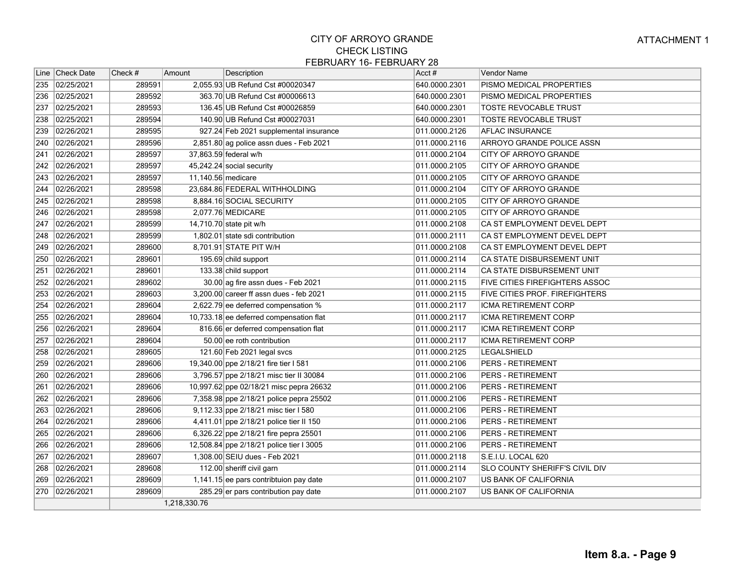|              | Line Check Date | Check # | Amount             | Description                              | Acct#         | Vendor Name                           |
|--------------|-----------------|---------|--------------------|------------------------------------------|---------------|---------------------------------------|
| 235          | 02/25/2021      | 289591  |                    | 2,055.93 UB Refund Cst #00020347         | 640.0000.2301 | PISMO MEDICAL PROPERTIES              |
|              | 236 02/25/2021  | 289592  |                    | 363.70 UB Refund Cst #00006613           | 640.0000.2301 | PISMO MEDICAL PROPERTIES              |
| 237          | 02/25/2021      | 289593  |                    | 136.45 UB Refund Cst #00026859           | 640.0000.2301 | TOSTE REVOCABLE TRUST                 |
| 238          | 02/25/2021      | 289594  |                    | 140.90 UB Refund Cst #00027031           | 640.0000.2301 | TOSTE REVOCABLE TRUST                 |
| 239          | 02/26/2021      | 289595  |                    | 927.24 Feb 2021 supplemental insurance   | 011.0000.2126 | <b>AFLAC INSURANCE</b>                |
| 240          | 02/26/2021      | 289596  |                    | 2,851.80 ag police assn dues - Feb 2021  | 011.0000.2116 | ARROYO GRANDE POLICE ASSN             |
| 241          | 02/26/2021      | 289597  |                    | 37,863.59 federal w/h                    | 011.0000.2104 | <b>CITY OF ARROYO GRANDE</b>          |
| 242          | 02/26/2021      | 289597  |                    | 45,242.24 social security                | 011.0000.2105 | CITY OF ARROYO GRANDE                 |
| 243          | 02/26/2021      | 289597  | 11,140.56 medicare |                                          | 011.0000.2105 | <b>CITY OF ARROYO GRANDE</b>          |
| 244          | 02/26/2021      | 289598  |                    | 23,684.86 FEDERAL WITHHOLDING            | 011.0000.2104 | CITY OF ARROYO GRANDE                 |
| 245          | 02/26/2021      | 289598  |                    | 8,884.16 SOCIAL SECURITY                 | 011.0000.2105 | <b>CITY OF ARROYO GRANDE</b>          |
| 246          | 02/26/2021      | 289598  |                    | 2,077.76 MEDICARE                        | 011.0000.2105 | CITY OF ARROYO GRANDE                 |
| $\sqrt{247}$ | 02/26/2021      | 289599  |                    | 14,710.70 state pit w/h                  | 011.0000.2108 | CA ST EMPLOYMENT DEVEL DEPT           |
| 248          | 02/26/2021      | 289599  |                    | 1,802.01 state sdi contribution          | 011.0000.2111 | CA ST EMPLOYMENT DEVEL DEPT           |
| 249          | 02/26/2021      | 289600  |                    | 8,701.91 STATE PIT W/H                   | 011.0000.2108 | CA ST EMPLOYMENT DEVEL DEPT           |
| 250          | 02/26/2021      | 289601  |                    | 195.69 child support                     | 011.0000.2114 | CA STATE DISBURSEMENT UNIT            |
| 251          | 02/26/2021      | 289601  |                    | 133.38 child support                     | 011.0000.2114 | CA STATE DISBURSEMENT UNIT            |
| 252          | 02/26/2021      | 289602  |                    | 30.00 ag fire assn dues - Feb 2021       | 011.0000.2115 | <b>FIVE CITIES FIREFIGHTERS ASSOC</b> |
| 253          | 02/26/2021      | 289603  |                    | 3,200.00 career ff assn dues - feb 2021  | 011.0000.2115 | <b>FIVE CITIES PROF. FIREFIGHTERS</b> |
| 254          | 02/26/2021      | 289604  |                    | 2,622.79 ee deferred compensation %      | 011.0000.2117 | ICMA RETIREMENT CORP                  |
| 255          | 02/26/2021      | 289604  |                    | 10,733.18 ee deferred compensation flat  | 011.0000.2117 | ICMA RETIREMENT CORP                  |
| 256          | 02/26/2021      | 289604  |                    | 816.66 er deferred compensation flat     | 011.0000.2117 | ICMA RETIREMENT CORP                  |
| 257          | 02/26/2021      | 289604  |                    | 50.00 ee roth contribution               | 011.0000.2117 | ICMA RETIREMENT CORP                  |
| 258          | 02/26/2021      | 289605  |                    | 121.60 Feb 2021 legal svcs               | 011.0000.2125 | LEGALSHIELD                           |
| 259          | 02/26/2021      | 289606  |                    | 19,340.00 ppe 2/18/21 fire tier I 581    | 011.0000.2106 | <b>PERS - RETIREMENT</b>              |
| 260          | 02/26/2021      | 289606  |                    | 3,796.57 ppe 2/18/21 misc tier II 30084  | 011.0000.2106 | <b>PERS - RETIREMENT</b>              |
| 261          | 02/26/2021      | 289606  |                    | 10,997.62 ppe 02/18/21 misc pepra 26632  | 011.0000.2106 | <b>PERS - RETIREMENT</b>              |
|              | 262 02/26/2021  | 289606  |                    | 7,358.98 ppe 2/18/21 police pepra 25502  | 011.0000.2106 | <b>PERS - RETIREMENT</b>              |
| 263          | 02/26/2021      | 289606  |                    | 9,112.33 ppe 2/18/21 misc tier I 580     | 011.0000.2106 | <b>PERS - RETIREMENT</b>              |
| 264          | 02/26/2021      | 289606  |                    | 4,411.01 ppe 2/18/21 police tier II 150  | 011.0000.2106 | <b>PERS - RETIREMENT</b>              |
| 265          | 02/26/2021      | 289606  |                    | 6,326.22 ppe 2/18/21 fire pepra 25501    | 011.0000.2106 | PERS - RETIREMENT                     |
| 266          | 02/26/2021      | 289606  |                    | 12,508.84 ppe 2/18/21 police tier I 3005 | 011.0000.2106 | <b>PERS - RETIREMENT</b>              |
| 267          | 02/26/2021      | 289607  |                    | 1,308.00 SEIU dues - Feb 2021            | 011.0000.2118 | S.E.I.U. LOCAL 620                    |
| 268          | 02/26/2021      | 289608  |                    | 112.00 sheriff civil garn                | 011.0000.2114 | <b>SLO COUNTY SHERIFF'S CIVIL DIV</b> |
| 269          | 02/26/2021      | 289609  |                    | 1,141.15 ee pars contribtuion pay date   | 011.0000.2107 | US BANK OF CALIFORNIA                 |
| 270          | 02/26/2021      | 289609  |                    | 285.29 er pars contribution pay date     | 011.0000.2107 | US BANK OF CALIFORNIA                 |
|              |                 |         | 1,218,330.76       |                                          |               |                                       |
|              |                 |         |                    |                                          |               |                                       |